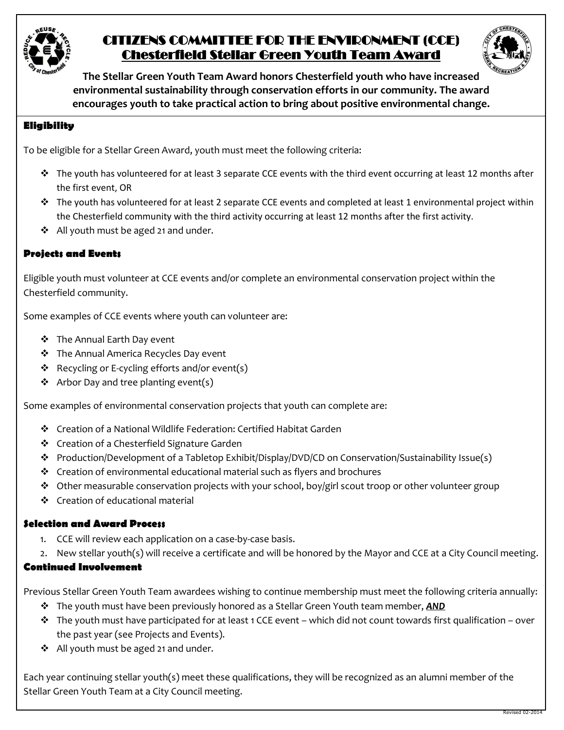

# CITIZENS COMMITTEE FOR THE ENVIRONMENT (CCE) Chesterfield Stellar Green Youth Team Award



**The Stellar Green Youth Team Award honors Chesterfield youth who have increased environmental sustainability through conservation efforts in our community. The award encourages youth to take practical action to bring about positive environmental change.**

### **Eligibility**

To be eligible for a Stellar Green Award, youth must meet the following criteria:

- \* The youth has volunteered for at least 3 separate CCE events with the third event occurring at least 12 months after the first event, OR
- $\cdot \cdot$  The youth has volunteered for at least 2 separate CCE events and completed at least 1 environmental project within the Chesterfield community with the third activity occurring at least 12 months after the first activity.
- ❖ All youth must be aged 21 and under.

#### **Projects and Events**

Eligible youth must volunteer at CCE events and/or complete an environmental conservation project within the Chesterfield community.

Some examples of CCE events where youth can volunteer are:

- The Annual Earth Day event
- The Annual America Recycles Day event
- $\triangleleft$  Recycling or E-cycling efforts and/or event(s)
- $\triangleleft$  Arbor Day and tree planting event(s)

Some examples of environmental conservation projects that youth can complete are:

- Creation of a National Wildlife Federation: Certified Habitat Garden
- Creation of a Chesterfield Signature Garden
- Production/Development of a Tabletop Exhibit/Display/DVD/CD on Conservation/Sustainability Issue(s)
- Creation of environmental educational material such as flyers and brochures
- ◆ Other measurable conservation projects with your school, boy/girl scout troop or other volunteer group
- Creation of educational material

#### **Selection and Award Process**

- 1. CCE will review each application on a case-by-case basis.
- 2. New stellar youth(s) will receive a certificate and will be honored by the Mayor and CCE at a City Council meeting.

#### **Continued Involvement**

Previous Stellar Green Youth Team awardees wishing to continue membership must meet the following criteria annually:

- The youth must have been previously honored as a Stellar Green Youth team member, *AND*
- $\cdot \cdot$  The youth must have participated for at least 1 CCE event which did not count towards first qualification over the past year (see Projects and Events).
- ❖ All youth must be aged 21 and under.

Each year continuing stellar youth(s) meet these qualifications, they will be recognized as an alumni member of the Stellar Green Youth Team at a City Council meeting.